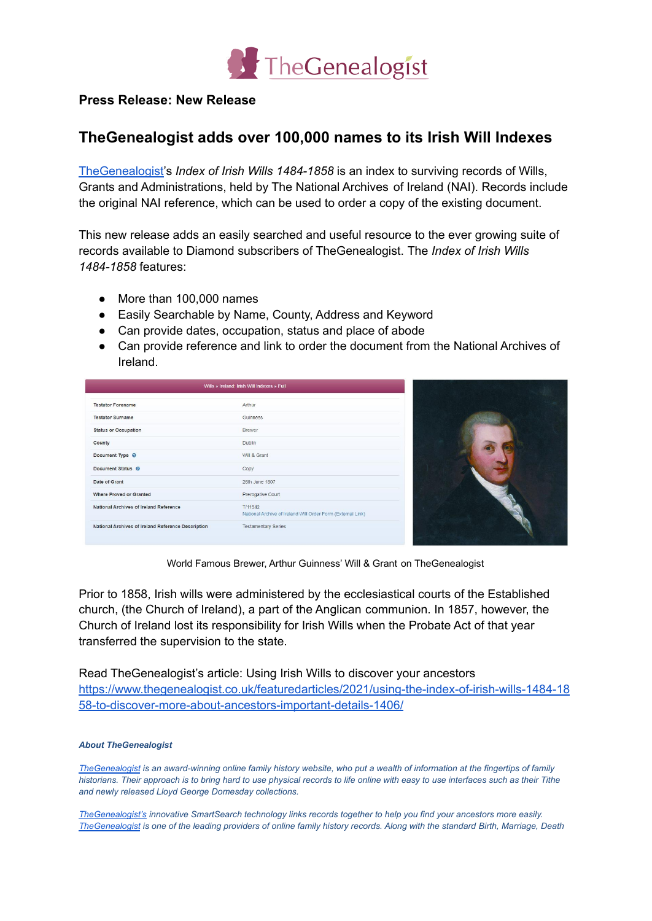

## **Press Release: New Release**

## **TheGenealogist adds over 100,000 names to its Irish Will Indexes**

[TheGenealogist'](https://www.thegenealogist.co.uk)s *Index of Irish Wills 1484-1858* is an index to surviving records of Wills, Grants and Administrations, held by The National Archives of Ireland (NAI). Records include the original NAI reference, which can be used to order a copy of the existing document.

This new release adds an easily searched and useful resource to the ever growing suite of records available to Diamond subscribers of TheGenealogist. The *Index of Irish Wills 1484-1858* features:

- More than 100,000 names
- Easily Searchable by Name, County, Address and Keyword
- Can provide dates, occupation, status and place of abode
- Can provide reference and link to order the document from the National Archives of Ireland.

| Arthur                                                                 |
|------------------------------------------------------------------------|
| <b>Guinness</b>                                                        |
| <b>Brewer</b>                                                          |
| <b>Dublin</b>                                                          |
| Will & Grant                                                           |
| Copy                                                                   |
| 26th June 1807                                                         |
| Prerogative Court                                                      |
| T/11542<br>National Archive of Ireland Will Order Form (External Link) |
| <b>Testamentary Series</b>                                             |
|                                                                        |



World Famous Brewer, Arthur Guinness' Will & Grant on TheGenealogist

Prior to 1858, Irish wills were administered by the ecclesiastical courts of the Established church, (the Church of Ireland), a part of the Anglican communion. In 1857, however, the Church of Ireland lost its responsibility for Irish Wills when the Probate Act of that year transferred the supervision to the state.

Read TheGenealogist's article: Using Irish Wills to discover your ancestors [https://www.thegenealogist.co.uk/featuredarticles/2021/using-the-index-of-irish-wills-1484-18](https://www.thegenealogist.co.uk/featuredarticles/2021/using-the-index-of-irish-wills-1484-1858-to-discover-more-about-ancestors-important-details-1406/) [58-to-discover-more-about-ancestors-important-details-1406/](https://www.thegenealogist.co.uk/featuredarticles/2021/using-the-index-of-irish-wills-1484-1858-to-discover-more-about-ancestors-important-details-1406/)

## *About TheGenealogist*

The Genealogist is an award-winning online family history website, who put a wealth of information at the fingertips of family historians. Their approach is to bring hard to use physical records to life online with easy to use interfaces such as their Tithe *and newly released Lloyd George Domesday collections.*

*[TheGenealogist's](https://www.thegenealogist.co.uk/) innovative SmartSearch technology links records together to help you find your ancestors more easily.* The Genealogist is one of the leading providers of online family history records. Along with the standard Birth, Marriage, Death